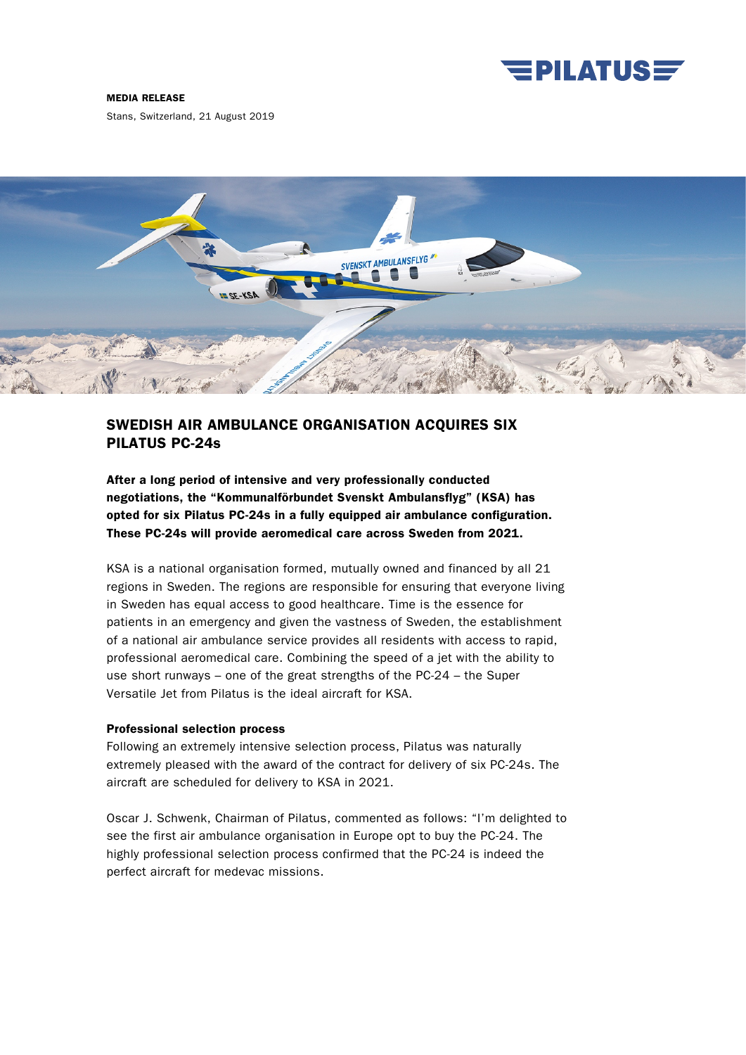

#### MEDIA RELEASE

Stans, Switzerland, 21 August 2019



# SWEDISH AIR AMBULANCE ORGANISATION ACQUIRES SIX PILATUS PC-24s

After a long period of intensive and very professionally conducted negotiations, the "Kommunalförbundet Svenskt Ambulansflyg" (KSA) has opted for six Pilatus PC-24s in a fully equipped air ambulance configuration. These PC-24s will provide aeromedical care across Sweden from 2021.

KSA is a national organisation formed, mutually owned and financed by all 21 regions in Sweden. The regions are responsible for ensuring that everyone living in Sweden has equal access to good healthcare. Time is the essence for patients in an emergency and given the vastness of Sweden, the establishment of a national air ambulance service provides all residents with access to rapid, professional aeromedical care. Combining the speed of a jet with the ability to use short runways – one of the great strengths of the PC-24 – the Super Versatile Jet from Pilatus is the ideal aircraft for KSA.

## Professional selection process

Following an extremely intensive selection process, Pilatus was naturally extremely pleased with the award of the contract for delivery of six PC-24s. The aircraft are scheduled for delivery to KSA in 2021.

Oscar J. Schwenk, Chairman of Pilatus, commented as follows: "I'm delighted to see the first air ambulance organisation in Europe opt to buy the PC-24. The highly professional selection process confirmed that the PC-24 is indeed the perfect aircraft for medevac missions.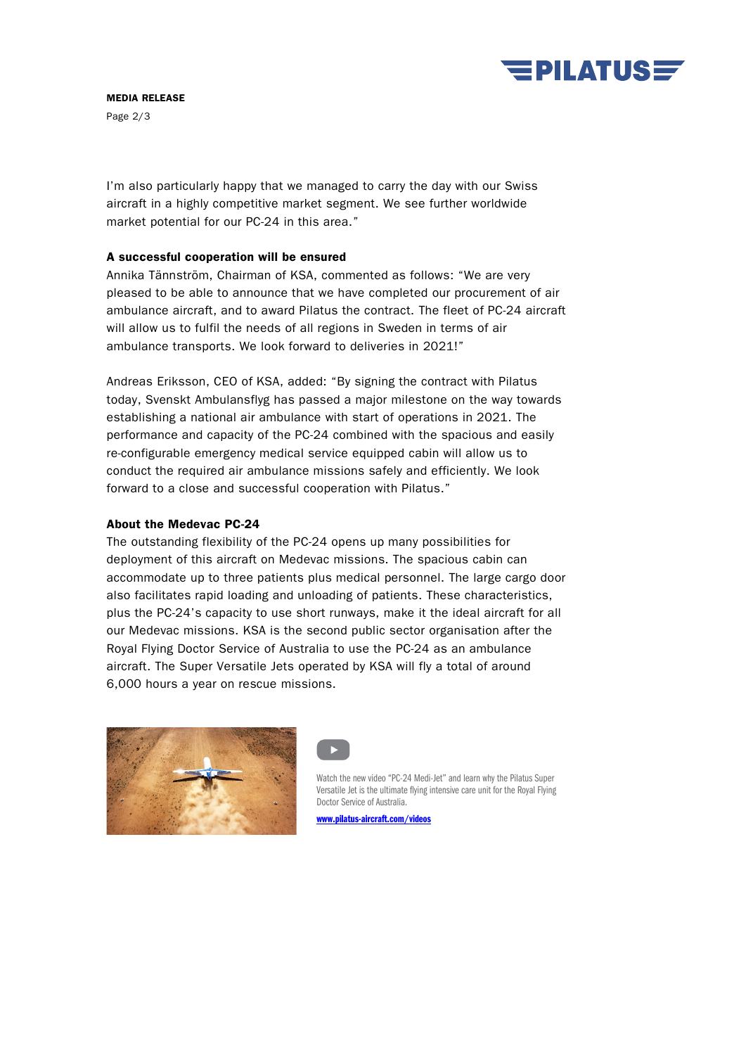

MEDIA RELEASE

Page 2/3

I'm also particularly happy that we managed to carry the day with our Swiss aircraft in a highly competitive market segment. We see further worldwide market potential for our PC-24 in this area."

# A successful cooperation will be ensured

Annika Tännström, Chairman of KSA, commented as follows: "We are very pleased to be able to announce that we have completed our procurement of air ambulance aircraft, and to award Pilatus the contract. The fleet of PC-24 aircraft will allow us to fulfil the needs of all regions in Sweden in terms of air ambulance transports. We look forward to deliveries in 2021!"

Andreas Eriksson, CEO of KSA, added: "By signing the contract with Pilatus today, Svenskt Ambulansflyg has passed a major milestone on the way towards establishing a national air ambulance with start of operations in 2021. The performance and capacity of the PC-24 combined with the spacious and easily re-configurable emergency medical service equipped cabin will allow us to conduct the required air ambulance missions safely and efficiently. We look forward to a close and successful cooperation with Pilatus."

# About the Medevac PC-24

The outstanding flexibility of the PC-24 opens up many possibilities for deployment of this aircraft on Medevac missions. The spacious cabin can accommodate up to three patients plus medical personnel. The large cargo door also facilitates rapid loading and unloading of patients. These characteristics, plus the PC-24's capacity to use short runways, make it the ideal aircraft for all our Medevac missions. KSA is the second public sector organisation after the Royal Flying Doctor Service of Australia to use the PC-24 as an ambulance aircraft. The Super Versatile Jets operated by KSA will fly a total of around 6,000 hours a year on rescue missions.





Watch the new video "PC-24 Medi-Jet" and learn why the Pilatus Super Versatile Jet is the ultimate flying intensive care unit for the Royal Flying Doctor Service of Australia.

[www.pilatus-aircraft.com/videos](http://www.pilatus-aircraft.com/videos)